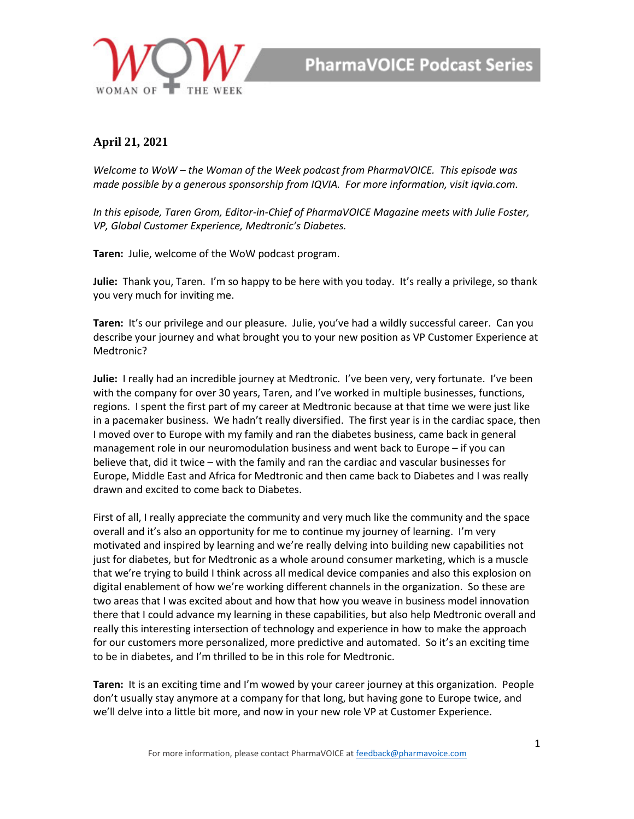

## **April 21, 2021**

*Welcome to WoW – the Woman of the Week podcast from PharmaVOICE. This episode was made possible by a generous sponsorship from IQVIA. For more information, visit iqvia.com.*

*In this episode, Taren Grom, Editor-in-Chief of PharmaVOICE Magazine meets with Julie Foster, VP, Global Customer Experience, Medtronic's Diabetes.*

**Taren:** Julie, welcome of the WoW podcast program.

**Julie:** Thank you, Taren. I'm so happy to be here with you today. It's really a privilege, so thank you very much for inviting me.

**Taren:** It's our privilege and our pleasure. Julie, you've had a wildly successful career. Can you describe your journey and what brought you to your new position as VP Customer Experience at Medtronic?

**Julie:** I really had an incredible journey at Medtronic. I've been very, very fortunate. I've been with the company for over 30 years, Taren, and I've worked in multiple businesses, functions, regions. I spent the first part of my career at Medtronic because at that time we were just like in a pacemaker business. We hadn't really diversified. The first year is in the cardiac space, then I moved over to Europe with my family and ran the diabetes business, came back in general management role in our neuromodulation business and went back to Europe – if you can believe that, did it twice – with the family and ran the cardiac and vascular businesses for Europe, Middle East and Africa for Medtronic and then came back to Diabetes and I was really drawn and excited to come back to Diabetes.

First of all, I really appreciate the community and very much like the community and the space overall and it's also an opportunity for me to continue my journey of learning. I'm very motivated and inspired by learning and we're really delving into building new capabilities not just for diabetes, but for Medtronic as a whole around consumer marketing, which is a muscle that we're trying to build I think across all medical device companies and also this explosion on digital enablement of how we're working different channels in the organization. So these are two areas that I was excited about and how that how you weave in business model innovation there that I could advance my learning in these capabilities, but also help Medtronic overall and really this interesting intersection of technology and experience in how to make the approach for our customers more personalized, more predictive and automated. So it's an exciting time to be in diabetes, and I'm thrilled to be in this role for Medtronic.

**Taren:** It is an exciting time and I'm wowed by your career journey at this organization. People don't usually stay anymore at a company for that long, but having gone to Europe twice, and we'll delve into a little bit more, and now in your new role VP at Customer Experience.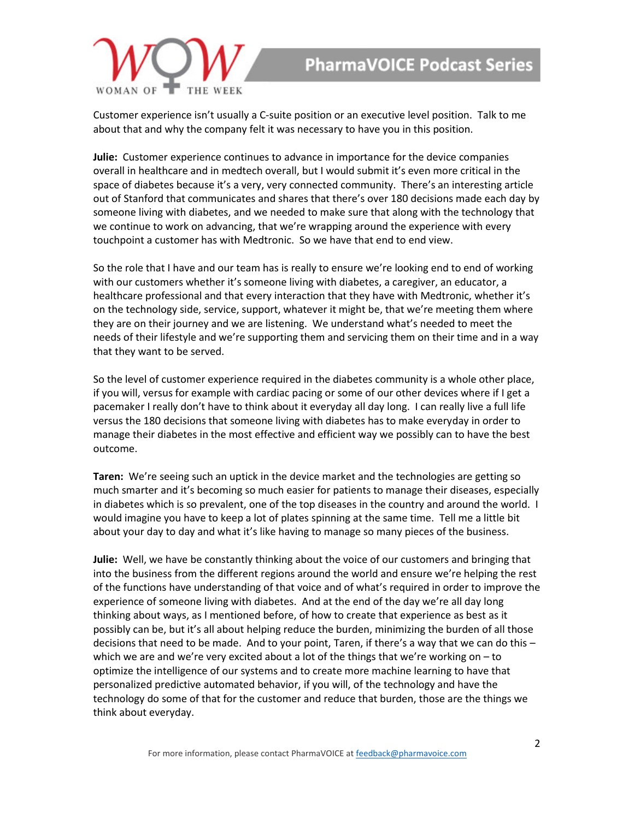

Customer experience isn't usually a C-suite position or an executive level position. Talk to me about that and why the company felt it was necessary to have you in this position.

**Julie:** Customer experience continues to advance in importance for the device companies overall in healthcare and in medtech overall, but I would submit it's even more critical in the space of diabetes because it's a very, very connected community. There's an interesting article out of Stanford that communicates and shares that there's over 180 decisions made each day by someone living with diabetes, and we needed to make sure that along with the technology that we continue to work on advancing, that we're wrapping around the experience with every touchpoint a customer has with Medtronic. So we have that end to end view.

So the role that I have and our team has is really to ensure we're looking end to end of working with our customers whether it's someone living with diabetes, a caregiver, an educator, a healthcare professional and that every interaction that they have with Medtronic, whether it's on the technology side, service, support, whatever it might be, that we're meeting them where they are on their journey and we are listening. We understand what's needed to meet the needs of their lifestyle and we're supporting them and servicing them on their time and in a way that they want to be served.

So the level of customer experience required in the diabetes community is a whole other place, if you will, versus for example with cardiac pacing or some of our other devices where if I get a pacemaker I really don't have to think about it everyday all day long. I can really live a full life versus the 180 decisions that someone living with diabetes has to make everyday in order to manage their diabetes in the most effective and efficient way we possibly can to have the best outcome.

**Taren:** We're seeing such an uptick in the device market and the technologies are getting so much smarter and it's becoming so much easier for patients to manage their diseases, especially in diabetes which is so prevalent, one of the top diseases in the country and around the world. I would imagine you have to keep a lot of plates spinning at the same time. Tell me a little bit about your day to day and what it's like having to manage so many pieces of the business.

**Julie:** Well, we have be constantly thinking about the voice of our customers and bringing that into the business from the different regions around the world and ensure we're helping the rest of the functions have understanding of that voice and of what's required in order to improve the experience of someone living with diabetes. And at the end of the day we're all day long thinking about ways, as I mentioned before, of how to create that experience as best as it possibly can be, but it's all about helping reduce the burden, minimizing the burden of all those decisions that need to be made. And to your point, Taren, if there's a way that we can do this – which we are and we're very excited about a lot of the things that we're working on – to optimize the intelligence of our systems and to create more machine learning to have that personalized predictive automated behavior, if you will, of the technology and have the technology do some of that for the customer and reduce that burden, those are the things we think about everyday.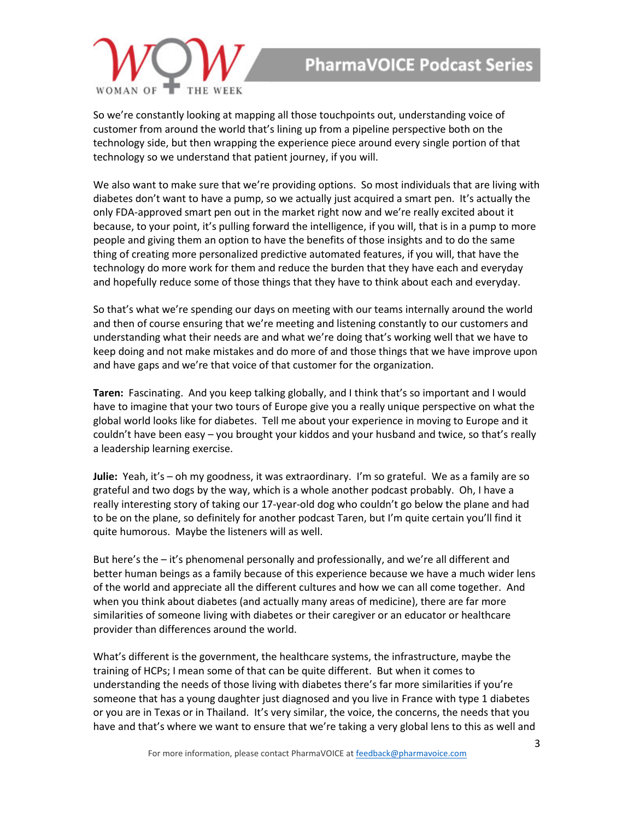

So we're constantly looking at mapping all those touchpoints out, understanding voice of customer from around the world that's lining up from a pipeline perspective both on the technology side, but then wrapping the experience piece around every single portion of that technology so we understand that patient journey, if you will.

We also want to make sure that we're providing options. So most individuals that are living with diabetes don't want to have a pump, so we actually just acquired a smart pen. It's actually the only FDA-approved smart pen out in the market right now and we're really excited about it because, to your point, it's pulling forward the intelligence, if you will, that is in a pump to more people and giving them an option to have the benefits of those insights and to do the same thing of creating more personalized predictive automated features, if you will, that have the technology do more work for them and reduce the burden that they have each and everyday and hopefully reduce some of those things that they have to think about each and everyday.

So that's what we're spending our days on meeting with our teams internally around the world and then of course ensuring that we're meeting and listening constantly to our customers and understanding what their needs are and what we're doing that's working well that we have to keep doing and not make mistakes and do more of and those things that we have improve upon and have gaps and we're that voice of that customer for the organization.

**Taren:** Fascinating. And you keep talking globally, and I think that's so important and I would have to imagine that your two tours of Europe give you a really unique perspective on what the global world looks like for diabetes. Tell me about your experience in moving to Europe and it couldn't have been easy – you brought your kiddos and your husband and twice, so that's really a leadership learning exercise.

**Julie:** Yeah, it's – oh my goodness, it was extraordinary. I'm so grateful. We as a family are so grateful and two dogs by the way, which is a whole another podcast probably. Oh, I have a really interesting story of taking our 17-year-old dog who couldn't go below the plane and had to be on the plane, so definitely for another podcast Taren, but I'm quite certain you'll find it quite humorous. Maybe the listeners will as well.

But here's the – it's phenomenal personally and professionally, and we're all different and better human beings as a family because of this experience because we have a much wider lens of the world and appreciate all the different cultures and how we can all come together. And when you think about diabetes (and actually many areas of medicine), there are far more similarities of someone living with diabetes or their caregiver or an educator or healthcare provider than differences around the world.

What's different is the government, the healthcare systems, the infrastructure, maybe the training of HCPs; I mean some of that can be quite different. But when it comes to understanding the needs of those living with diabetes there's far more similarities if you're someone that has a young daughter just diagnosed and you live in France with type 1 diabetes or you are in Texas or in Thailand. It's very similar, the voice, the concerns, the needs that you have and that's where we want to ensure that we're taking a very global lens to this as well and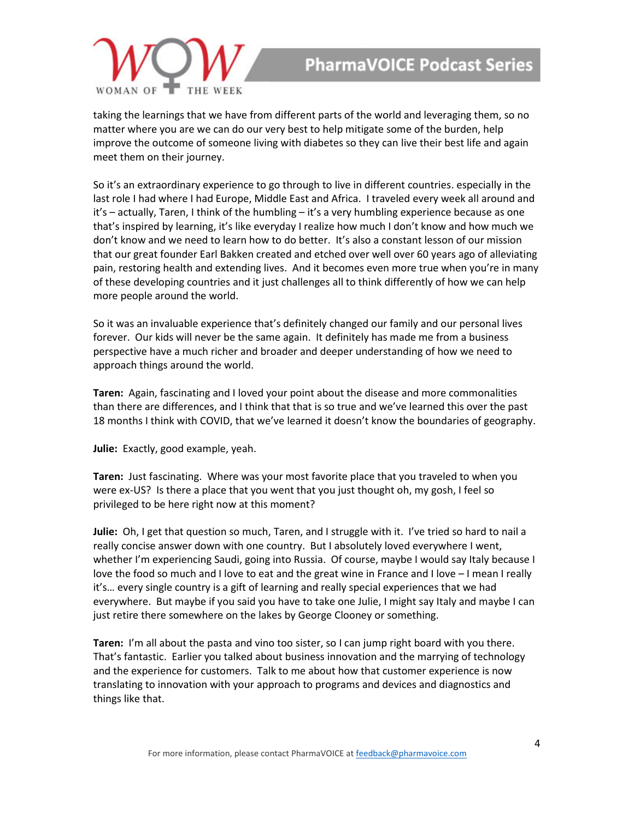

taking the learnings that we have from different parts of the world and leveraging them, so no matter where you are we can do our very best to help mitigate some of the burden, help improve the outcome of someone living with diabetes so they can live their best life and again meet them on their journey.

So it's an extraordinary experience to go through to live in different countries. especially in the last role I had where I had Europe, Middle East and Africa. I traveled every week all around and it's – actually, Taren, I think of the humbling – it's a very humbling experience because as one that's inspired by learning, it's like everyday I realize how much I don't know and how much we don't know and we need to learn how to do better. It's also a constant lesson of our mission that our great founder Earl Bakken created and etched over well over 60 years ago of alleviating pain, restoring health and extending lives. And it becomes even more true when you're in many of these developing countries and it just challenges all to think differently of how we can help more people around the world.

So it was an invaluable experience that's definitely changed our family and our personal lives forever. Our kids will never be the same again. It definitely has made me from a business perspective have a much richer and broader and deeper understanding of how we need to approach things around the world.

**Taren:** Again, fascinating and I loved your point about the disease and more commonalities than there are differences, and I think that that is so true and we've learned this over the past 18 months I think with COVID, that we've learned it doesn't know the boundaries of geography.

**Julie:** Exactly, good example, yeah.

**Taren:** Just fascinating. Where was your most favorite place that you traveled to when you were ex-US? Is there a place that you went that you just thought oh, my gosh, I feel so privileged to be here right now at this moment?

**Julie:** Oh, I get that question so much, Taren, and I struggle with it. I've tried so hard to nail a really concise answer down with one country. But I absolutely loved everywhere I went, whether I'm experiencing Saudi, going into Russia. Of course, maybe I would say Italy because I love the food so much and I love to eat and the great wine in France and I love – I mean I really it's… every single country is a gift of learning and really special experiences that we had everywhere. But maybe if you said you have to take one Julie, I might say Italy and maybe I can just retire there somewhere on the lakes by George Clooney or something.

**Taren:** I'm all about the pasta and vino too sister, so I can jump right board with you there. That's fantastic. Earlier you talked about business innovation and the marrying of technology and the experience for customers. Talk to me about how that customer experience is now translating to innovation with your approach to programs and devices and diagnostics and things like that.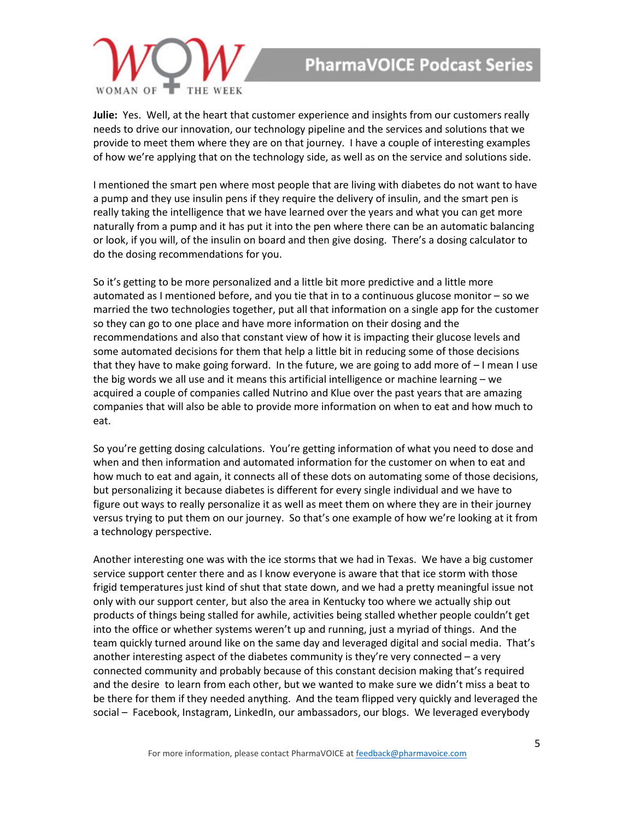

**Julie:** Yes. Well, at the heart that customer experience and insights from our customers really needs to drive our innovation, our technology pipeline and the services and solutions that we provide to meet them where they are on that journey. I have a couple of interesting examples of how we're applying that on the technology side, as well as on the service and solutions side.

I mentioned the smart pen where most people that are living with diabetes do not want to have a pump and they use insulin pens if they require the delivery of insulin, and the smart pen is really taking the intelligence that we have learned over the years and what you can get more naturally from a pump and it has put it into the pen where there can be an automatic balancing or look, if you will, of the insulin on board and then give dosing. There's a dosing calculator to do the dosing recommendations for you.

So it's getting to be more personalized and a little bit more predictive and a little more automated as I mentioned before, and you tie that in to a continuous glucose monitor – so we married the two technologies together, put all that information on a single app for the customer so they can go to one place and have more information on their dosing and the recommendations and also that constant view of how it is impacting their glucose levels and some automated decisions for them that help a little bit in reducing some of those decisions that they have to make going forward. In the future, we are going to add more of – I mean I use the big words we all use and it means this artificial intelligence or machine learning – we acquired a couple of companies called Nutrino and Klue over the past years that are amazing companies that will also be able to provide more information on when to eat and how much to eat.

So you're getting dosing calculations. You're getting information of what you need to dose and when and then information and automated information for the customer on when to eat and how much to eat and again, it connects all of these dots on automating some of those decisions, but personalizing it because diabetes is different for every single individual and we have to figure out ways to really personalize it as well as meet them on where they are in their journey versus trying to put them on our journey. So that's one example of how we're looking at it from a technology perspective.

Another interesting one was with the ice storms that we had in Texas. We have a big customer service support center there and as I know everyone is aware that that ice storm with those frigid temperatures just kind of shut that state down, and we had a pretty meaningful issue not only with our support center, but also the area in Kentucky too where we actually ship out products of things being stalled for awhile, activities being stalled whether people couldn't get into the office or whether systems weren't up and running, just a myriad of things. And the team quickly turned around like on the same day and leveraged digital and social media. That's another interesting aspect of the diabetes community is they're very connected  $-$  a very connected community and probably because of this constant decision making that's required and the desire to learn from each other, but we wanted to make sure we didn't miss a beat to be there for them if they needed anything. And the team flipped very quickly and leveraged the social – Facebook, Instagram, LinkedIn, our ambassadors, our blogs. We leveraged everybody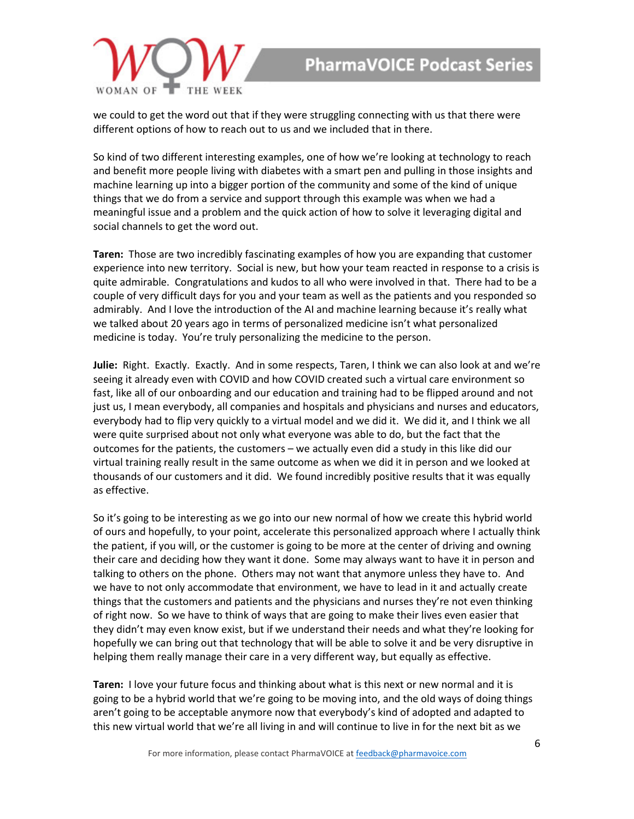

we could to get the word out that if they were struggling connecting with us that there were different options of how to reach out to us and we included that in there.

So kind of two different interesting examples, one of how we're looking at technology to reach and benefit more people living with diabetes with a smart pen and pulling in those insights and machine learning up into a bigger portion of the community and some of the kind of unique things that we do from a service and support through this example was when we had a meaningful issue and a problem and the quick action of how to solve it leveraging digital and social channels to get the word out.

**Taren:** Those are two incredibly fascinating examples of how you are expanding that customer experience into new territory. Social is new, but how your team reacted in response to a crisis is quite admirable. Congratulations and kudos to all who were involved in that. There had to be a couple of very difficult days for you and your team as well as the patients and you responded so admirably. And I love the introduction of the AI and machine learning because it's really what we talked about 20 years ago in terms of personalized medicine isn't what personalized medicine is today. You're truly personalizing the medicine to the person.

**Julie:** Right. Exactly. Exactly. And in some respects, Taren, I think we can also look at and we're seeing it already even with COVID and how COVID created such a virtual care environment so fast, like all of our onboarding and our education and training had to be flipped around and not just us, I mean everybody, all companies and hospitals and physicians and nurses and educators, everybody had to flip very quickly to a virtual model and we did it. We did it, and I think we all were quite surprised about not only what everyone was able to do, but the fact that the outcomes for the patients, the customers – we actually even did a study in this like did our virtual training really result in the same outcome as when we did it in person and we looked at thousands of our customers and it did. We found incredibly positive results that it was equally as effective.

So it's going to be interesting as we go into our new normal of how we create this hybrid world of ours and hopefully, to your point, accelerate this personalized approach where I actually think the patient, if you will, or the customer is going to be more at the center of driving and owning their care and deciding how they want it done. Some may always want to have it in person and talking to others on the phone. Others may not want that anymore unless they have to. And we have to not only accommodate that environment, we have to lead in it and actually create things that the customers and patients and the physicians and nurses they're not even thinking of right now. So we have to think of ways that are going to make their lives even easier that they didn't may even know exist, but if we understand their needs and what they're looking for hopefully we can bring out that technology that will be able to solve it and be very disruptive in helping them really manage their care in a very different way, but equally as effective.

**Taren:** I love your future focus and thinking about what is this next or new normal and it is going to be a hybrid world that we're going to be moving into, and the old ways of doing things aren't going to be acceptable anymore now that everybody's kind of adopted and adapted to this new virtual world that we're all living in and will continue to live in for the next bit as we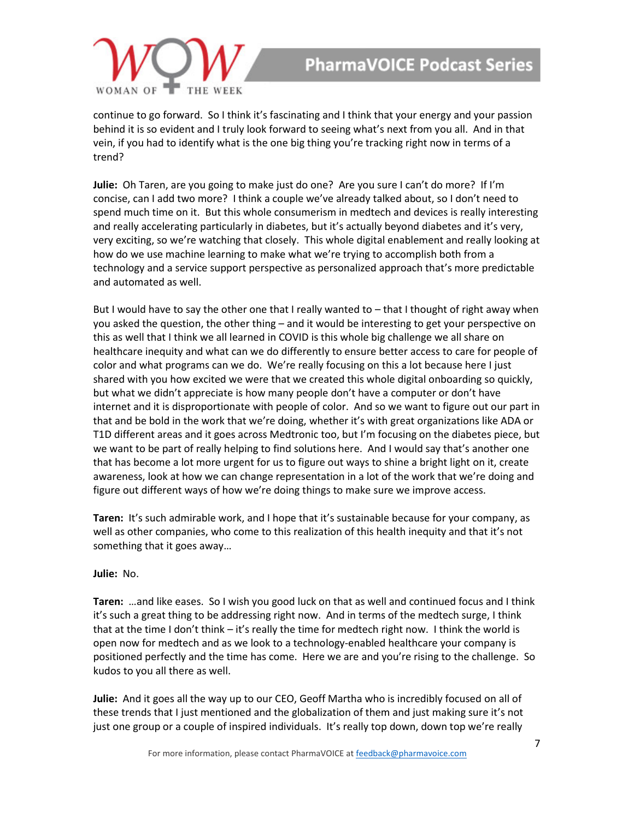

continue to go forward. So I think it's fascinating and I think that your energy and your passion behind it is so evident and I truly look forward to seeing what's next from you all. And in that vein, if you had to identify what is the one big thing you're tracking right now in terms of a trend?

**Julie:** Oh Taren, are you going to make just do one? Are you sure I can't do more? If I'm concise, can I add two more? I think a couple we've already talked about, so I don't need to spend much time on it. But this whole consumerism in medtech and devices is really interesting and really accelerating particularly in diabetes, but it's actually beyond diabetes and it's very, very exciting, so we're watching that closely. This whole digital enablement and really looking at how do we use machine learning to make what we're trying to accomplish both from a technology and a service support perspective as personalized approach that's more predictable and automated as well.

But I would have to say the other one that I really wanted to – that I thought of right away when you asked the question, the other thing – and it would be interesting to get your perspective on this as well that I think we all learned in COVID is this whole big challenge we all share on healthcare inequity and what can we do differently to ensure better access to care for people of color and what programs can we do. We're really focusing on this a lot because here I just shared with you how excited we were that we created this whole digital onboarding so quickly, but what we didn't appreciate is how many people don't have a computer or don't have internet and it is disproportionate with people of color. And so we want to figure out our part in that and be bold in the work that we're doing, whether it's with great organizations like ADA or T1D different areas and it goes across Medtronic too, but I'm focusing on the diabetes piece, but we want to be part of really helping to find solutions here. And I would say that's another one that has become a lot more urgent for us to figure out ways to shine a bright light on it, create awareness, look at how we can change representation in a lot of the work that we're doing and figure out different ways of how we're doing things to make sure we improve access.

**Taren:** It's such admirable work, and I hope that it's sustainable because for your company, as well as other companies, who come to this realization of this health inequity and that it's not something that it goes away…

## **Julie:** No.

**Taren:** …and like eases. So I wish you good luck on that as well and continued focus and I think it's such a great thing to be addressing right now. And in terms of the medtech surge, I think that at the time I don't think – it's really the time for medtech right now. I think the world is open now for medtech and as we look to a technology-enabled healthcare your company is positioned perfectly and the time has come. Here we are and you're rising to the challenge. So kudos to you all there as well.

**Julie:** And it goes all the way up to our CEO, Geoff Martha who is incredibly focused on all of these trends that I just mentioned and the globalization of them and just making sure it's not just one group or a couple of inspired individuals. It's really top down, down top we're really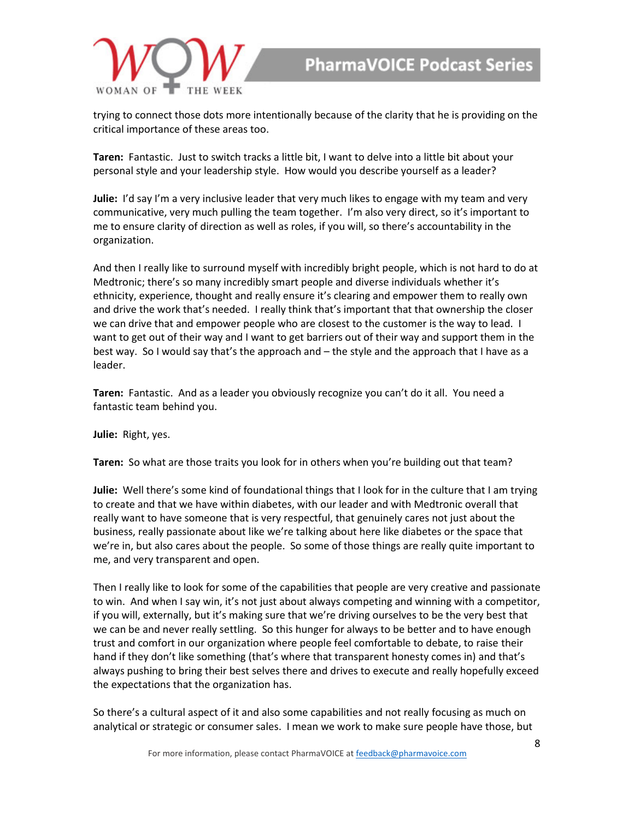

trying to connect those dots more intentionally because of the clarity that he is providing on the critical importance of these areas too.

**Taren:** Fantastic. Just to switch tracks a little bit, I want to delve into a little bit about your personal style and your leadership style. How would you describe yourself as a leader?

**Julie:** I'd say I'm a very inclusive leader that very much likes to engage with my team and very communicative, very much pulling the team together. I'm also very direct, so it's important to me to ensure clarity of direction as well as roles, if you will, so there's accountability in the organization.

And then I really like to surround myself with incredibly bright people, which is not hard to do at Medtronic; there's so many incredibly smart people and diverse individuals whether it's ethnicity, experience, thought and really ensure it's clearing and empower them to really own and drive the work that's needed. I really think that's important that that ownership the closer we can drive that and empower people who are closest to the customer is the way to lead. I want to get out of their way and I want to get barriers out of their way and support them in the best way. So I would say that's the approach and – the style and the approach that I have as a leader.

**Taren:** Fantastic. And as a leader you obviously recognize you can't do it all. You need a fantastic team behind you.

**Julie:** Right, yes.

**Taren:** So what are those traits you look for in others when you're building out that team?

**Julie:** Well there's some kind of foundational things that I look for in the culture that I am trying to create and that we have within diabetes, with our leader and with Medtronic overall that really want to have someone that is very respectful, that genuinely cares not just about the business, really passionate about like we're talking about here like diabetes or the space that we're in, but also cares about the people. So some of those things are really quite important to me, and very transparent and open.

Then I really like to look for some of the capabilities that people are very creative and passionate to win. And when I say win, it's not just about always competing and winning with a competitor, if you will, externally, but it's making sure that we're driving ourselves to be the very best that we can be and never really settling. So this hunger for always to be better and to have enough trust and comfort in our organization where people feel comfortable to debate, to raise their hand if they don't like something (that's where that transparent honesty comes in) and that's always pushing to bring their best selves there and drives to execute and really hopefully exceed the expectations that the organization has.

So there's a cultural aspect of it and also some capabilities and not really focusing as much on analytical or strategic or consumer sales. I mean we work to make sure people have those, but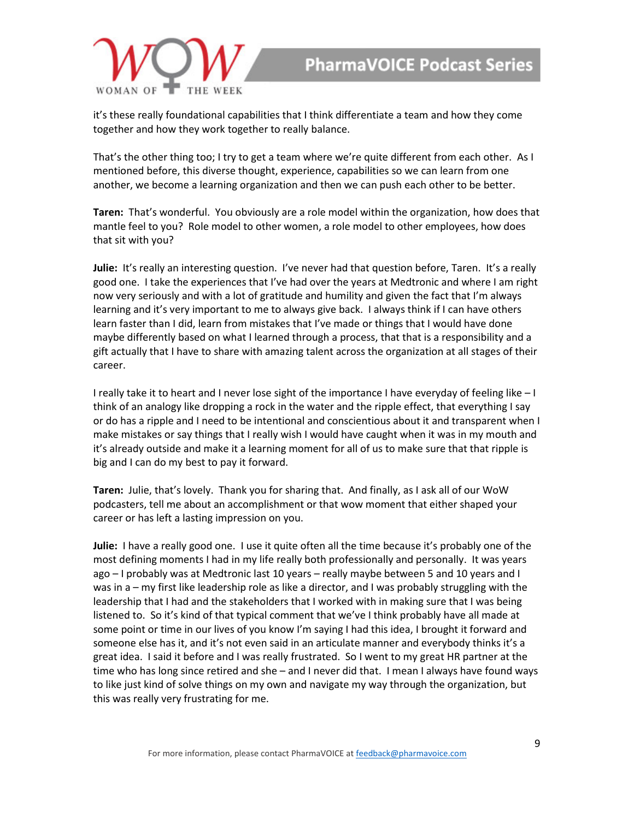

it's these really foundational capabilities that I think differentiate a team and how they come together and how they work together to really balance.

That's the other thing too; I try to get a team where we're quite different from each other. As I mentioned before, this diverse thought, experience, capabilities so we can learn from one another, we become a learning organization and then we can push each other to be better.

**Taren:** That's wonderful. You obviously are a role model within the organization, how does that mantle feel to you? Role model to other women, a role model to other employees, how does that sit with you?

**Julie:** It's really an interesting question. I've never had that question before, Taren. It's a really good one. I take the experiences that I've had over the years at Medtronic and where I am right now very seriously and with a lot of gratitude and humility and given the fact that I'm always learning and it's very important to me to always give back. I always think if I can have others learn faster than I did, learn from mistakes that I've made or things that I would have done maybe differently based on what I learned through a process, that that is a responsibility and a gift actually that I have to share with amazing talent across the organization at all stages of their career.

I really take it to heart and I never lose sight of the importance I have everyday of feeling like – I think of an analogy like dropping a rock in the water and the ripple effect, that everything I say or do has a ripple and I need to be intentional and conscientious about it and transparent when I make mistakes or say things that I really wish I would have caught when it was in my mouth and it's already outside and make it a learning moment for all of us to make sure that that ripple is big and I can do my best to pay it forward.

**Taren:** Julie, that's lovely. Thank you for sharing that. And finally, as I ask all of our WoW podcasters, tell me about an accomplishment or that wow moment that either shaped your career or has left a lasting impression on you.

**Julie:** I have a really good one. I use it quite often all the time because it's probably one of the most defining moments I had in my life really both professionally and personally. It was years ago – I probably was at Medtronic last 10 years – really maybe between 5 and 10 years and I was in a – my first like leadership role as like a director, and I was probably struggling with the leadership that I had and the stakeholders that I worked with in making sure that I was being listened to. So it's kind of that typical comment that we've I think probably have all made at some point or time in our lives of you know I'm saying I had this idea, I brought it forward and someone else has it, and it's not even said in an articulate manner and everybody thinks it's a great idea. I said it before and I was really frustrated. So I went to my great HR partner at the time who has long since retired and she – and I never did that. I mean I always have found ways to like just kind of solve things on my own and navigate my way through the organization, but this was really very frustrating for me.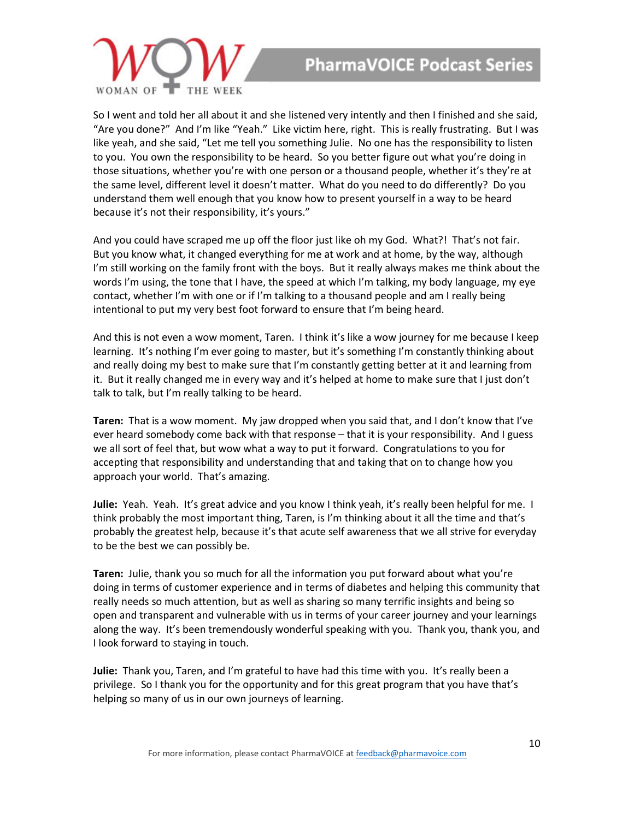

So I went and told her all about it and she listened very intently and then I finished and she said, "Are you done?" And I'm like "Yeah." Like victim here, right. This is really frustrating. But I was like yeah, and she said, "Let me tell you something Julie. No one has the responsibility to listen to you. You own the responsibility to be heard. So you better figure out what you're doing in those situations, whether you're with one person or a thousand people, whether it's they're at the same level, different level it doesn't matter. What do you need to do differently? Do you understand them well enough that you know how to present yourself in a way to be heard because it's not their responsibility, it's yours."

And you could have scraped me up off the floor just like oh my God. What?! That's not fair. But you know what, it changed everything for me at work and at home, by the way, although I'm still working on the family front with the boys. But it really always makes me think about the words I'm using, the tone that I have, the speed at which I'm talking, my body language, my eye contact, whether I'm with one or if I'm talking to a thousand people and am I really being intentional to put my very best foot forward to ensure that I'm being heard.

And this is not even a wow moment, Taren. I think it's like a wow journey for me because I keep learning. It's nothing I'm ever going to master, but it's something I'm constantly thinking about and really doing my best to make sure that I'm constantly getting better at it and learning from it. But it really changed me in every way and it's helped at home to make sure that I just don't talk to talk, but I'm really talking to be heard.

**Taren:** That is a wow moment. My jaw dropped when you said that, and I don't know that I've ever heard somebody come back with that response – that it is your responsibility. And I guess we all sort of feel that, but wow what a way to put it forward. Congratulations to you for accepting that responsibility and understanding that and taking that on to change how you approach your world. That's amazing.

**Julie:** Yeah. Yeah. It's great advice and you know I think yeah, it's really been helpful for me. I think probably the most important thing, Taren, is I'm thinking about it all the time and that's probably the greatest help, because it's that acute self awareness that we all strive for everyday to be the best we can possibly be.

**Taren:** Julie, thank you so much for all the information you put forward about what you're doing in terms of customer experience and in terms of diabetes and helping this community that really needs so much attention, but as well as sharing so many terrific insights and being so open and transparent and vulnerable with us in terms of your career journey and your learnings along the way. It's been tremendously wonderful speaking with you. Thank you, thank you, and I look forward to staying in touch.

**Julie:** Thank you, Taren, and I'm grateful to have had this time with you. It's really been a privilege. So I thank you for the opportunity and for this great program that you have that's helping so many of us in our own journeys of learning.